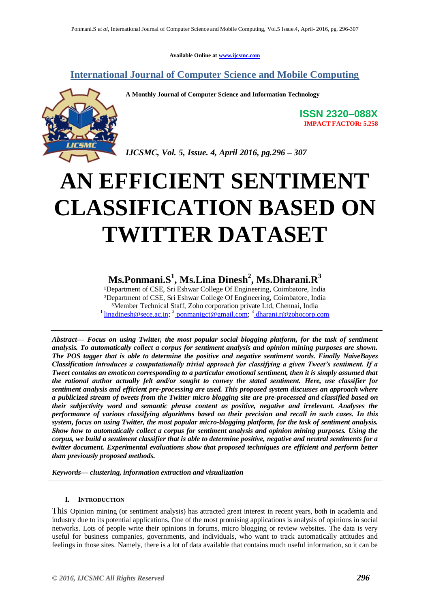**Available Online at [www.ijcsmc.com](http://www.ijcsmc.com/)**

**International Journal of Computer Science and Mobile Computing**



**A Monthly Journal of Computer Science and Information Technology**

**ISSN 2320–088X IMPACT FACTOR: 5.258**

*IJCSMC, Vol. 5, Issue. 4, April 2016, pg.296 – 307*

# **AN EFFICIENT SENTIMENT CLASSIFICATION BASED ON TWITTER DATASET**

# **Ms.Ponmani.S<sup>1</sup> , Ms.Lina Dinesh<sup>2</sup> , Ms.Dharani.R<sup>3</sup>**

<sup>1</sup>Department of CSE, Sri Eshwar College Of Engineering, Coimbatore, India ²Department of CSE, Sri Eshwar College Of Engineering, Coimbatore, India ³Member Technical Staff, Zoho corporation private Ltd, Chennai, India <sup>1</sup> [linadinesh@sece.ac.in;](mailto:linadinesh@sece.ac.in) <sup>2</sup> ponmanigct@gmail.com; <sup>3</sup> dharani.r@zohocorp.com

*Abstract— Focus on using Twitter, the most popular social blogging platform, for the task of sentiment analysis. To automatically collect a corpus for sentiment analysis and opinion mining purposes are shown. The POS tagger that is able to determine the positive and negative sentiment words. Finally NaiveBayes Classification introduces a computationally trivial approach for classifying a given Tweet's sentiment. If a Tweet contains an emoticon corresponding to a particular emotional sentiment, then it is simply assumed that the rational author actually felt and/or sought to convey the stated sentiment. Here, use classifier for sentiment analysis and efficient pre-processing are used. This proposed system discusses an approach where a publicized stream of tweets from the Twitter micro blogging site are pre-processed and classified based on their subjectivity word and semantic phrase content as positive, negative and irrelevant. Analyses the performance of various classifying algorithms based on their precision and recall in such cases. In this system, focus on using Twitter, the most popular micro-blogging platform, for the task of sentiment analysis. Show how to automatically collect a corpus for sentiment analysis and opinion mining purposes. Using the corpus, we build a sentiment classifier that is able to determine positive, negative and neutral sentiments for a twitter document. Experimental evaluations show that proposed techniques are efficient and perform better than previously proposed methods.*

*Keywords— clustering, information extraction and visualization*

# **I. INTRODUCTION**

This Opinion mining (or sentiment analysis) has attracted great interest in recent years, both in academia and industry due to its potential applications. One of the most promising applications is analysis of opinions in social networks. Lots of people write their opinions in forums, micro blogging or review websites. The data is very useful for business companies, governments, and individuals, who want to track automatically attitudes and feelings in those sites. Namely, there is a lot of data available that contains much useful information, so it can be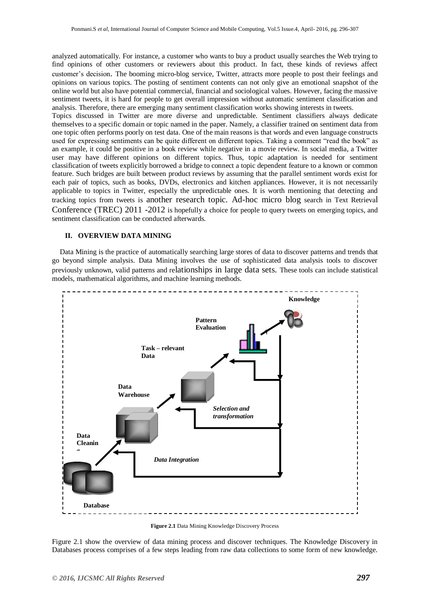analyzed automatically. For instance, a customer who wants to buy a product usually searches the Web trying to find opinions of other customers or reviewers about this product. In fact, these kinds of reviews affect customer's decision. The booming micro-blog service, Twitter, attracts more people to post their feelings and opinions on various topics. The posting of sentiment contents can not only give an emotional snapshot of the online world but also have potential commercial, financial and sociological values. However, facing the massive sentiment tweets, it is hard for people to get overall impression without automatic sentiment classification and analysis. Therefore, there are emerging many sentiment classification works showing interests in tweets.

Topics discussed in Twitter are more diverse and unpredictable. Sentiment classifiers always dedicate themselves to a specific domain or topic named in the paper. Namely, a classifier trained on sentiment data from one topic often performs poorly on test data. One of the main reasons is that words and even language constructs used for expressing sentiments can be quite different on different topics. Taking a comment "read the book" as an example, it could be positive in a book review while negative in a movie review. In social media, a Twitter user may have different opinions on different topics. Thus, topic adaptation is needed for sentiment classification of tweets explicitly borrowed a bridge to connect a topic dependent feature to a known or common feature. Such bridges are built between product reviews by assuming that the parallel sentiment words exist for each pair of topics, such as books, DVDs, electronics and kitchen appliances. However, it is not necessarily applicable to topics in Twitter, especially the unpredictable ones. It is worth mentioning that detecting and tracking topics from tweets is another research topic. Ad-hoc micro blog search in Text Retrieval Conference (TREC) 2011 -2012 is hopefully a choice for people to query tweets on emerging topics, and sentiment classification can be conducted afterwards.

#### **II. OVERVIEW DATA MINING**

Data Mining is the practice of automatically searching large stores of data to discover patterns and trends that go beyond simple analysis. Data Mining involves the use of sophisticated data analysis tools to discover previously unknown, valid patterns and relationships in large data sets. These tools can include statistical models, mathematical algorithms, and machine learning methods.



**Figure 2.1** Data Mining Knowledge Discovery Process

Figure 2.1 show the overview of data mining process and discover techniques. The Knowledge Discovery in Databases process comprises of a few steps leading from raw data collections to some form of new knowledge.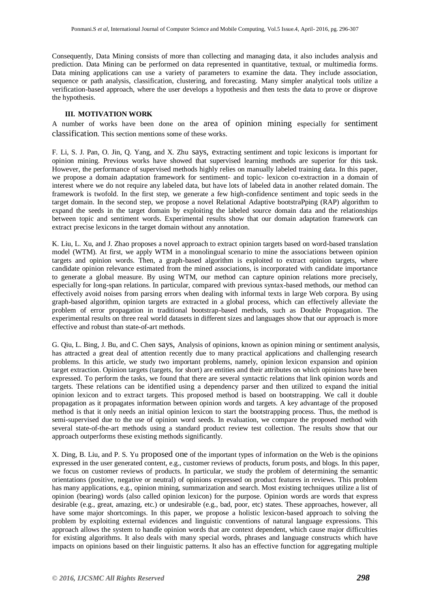Consequently, Data Mining consists of more than collecting and managing data, it also includes analysis and prediction. Data Mining can be performed on data represented in quantitative, textual, or multimedia forms. Data mining applications can use a variety of parameters to examine the data. They include association, sequence or path analysis, classification, clustering, and forecasting. Many simpler analytical tools utilize a verification-based approach, where the user develops a hypothesis and then tests the data to prove or disprove the hypothesis.

# **III. MOTIVATION WORK**

A number of works have been done on the area of opinion mining especially for sentiment classification. This section mentions some of these works.

F. Li, S. J. Pan, O. Jin, Q. Yang, and X. Zhu says, extracting sentiment and topic lexicons is important for opinion mining. Previous works have showed that supervised learning methods are superior for this task. However, the performance of supervised methods highly relies on manually labeled training data. In this paper, we propose a domain adaptation framework for sentiment- and topic- lexicon co-extraction in a domain of interest where we do not require any labeled data, but have lots of labeled data in another related domain. The framework is twofold. In the first step, we generate a few high-confidence sentiment and topic seeds in the target domain. In the second step, we propose a novel Relational Adaptive bootstraPping (RAP) algorithm to expand the seeds in the target domain by exploiting the labeled source domain data and the relationships between topic and sentiment words. Experimental results show that our domain adaptation framework can extract precise lexicons in the target domain without any annotation.

K. Liu, L. Xu, and J. Zhao proposes a novel approach to extract opinion targets based on word-based translation model (WTM). At first, we apply WTM in a monolingual scenario to mine the associations between opinion targets and opinion words. Then, a graph-based algorithm is exploited to extract opinion targets, where candidate opinion relevance estimated from the mined associations, is incorporated with candidate importance to generate a global measure. By using WTM, our method can capture opinion relations more precisely, especially for long-span relations. In particular, compared with previous syntax-based methods, our method can effectively avoid noises from parsing errors when dealing with informal texts in large Web corpora. By using graph-based algorithm, opinion targets are extracted in a global process, which can effectively alleviate the problem of error propagation in traditional bootstrap-based methods, such as Double Propagation. The experimental results on three real world datasets in different sizes and languages show that our approach is more effective and robust than state-of-art methods.

G. Qiu, L. Bing, J. Bu, and C. Chen says, Analysis of opinions, known as opinion mining or sentiment analysis, has attracted a great deal of attention recently due to many practical applications and challenging research problems. In this article, we study two important problems, namely, opinion lexicon expansion and opinion target extraction. Opinion targets (targets, for short) are entities and their attributes on which opinions have been expressed. To perform the tasks, we found that there are several syntactic relations that link opinion words and targets. These relations can be identified using a dependency parser and then utilized to expand the initial opinion lexicon and to extract targets. This proposed method is based on bootstrapping. We call it double propagation as it propagates information between opinion words and targets. A key advantage of the proposed method is that it only needs an initial opinion lexicon to start the bootstrapping process. Thus, the method is semi-supervised due to the use of opinion word seeds. In evaluation, we compare the proposed method with several state-of-the-art methods using a standard product review test collection. The results show that our approach outperforms these existing methods significantly.

X. Ding, B. Liu, and P. S. Yu proposed one of the important types of information on the Web is the opinions expressed in the user generated content, e.g., customer reviews of products, forum posts, and blogs. In this paper, we focus on customer reviews of products. In particular, we study the problem of determining the semantic orientations (positive, negative or neutral) of opinions expressed on product features in reviews. This problem has many applications, e.g., opinion mining, summarization and search. Most existing techniques utilize a list of opinion (bearing) words (also called opinion lexicon) for the purpose. Opinion words are words that express desirable (e.g., great, amazing, etc.) or undesirable (e.g., bad, poor, etc) states. These approaches, however, all have some major shortcomings. In this paper, we propose a holistic lexicon-based approach to solving the problem by exploiting external evidences and linguistic conventions of natural language expressions. This approach allows the system to handle opinion words that are context dependent, which cause major difficulties for existing algorithms. It also deals with many special words, phrases and language constructs which have impacts on opinions based on their linguistic patterns. It also has an effective function for aggregating multiple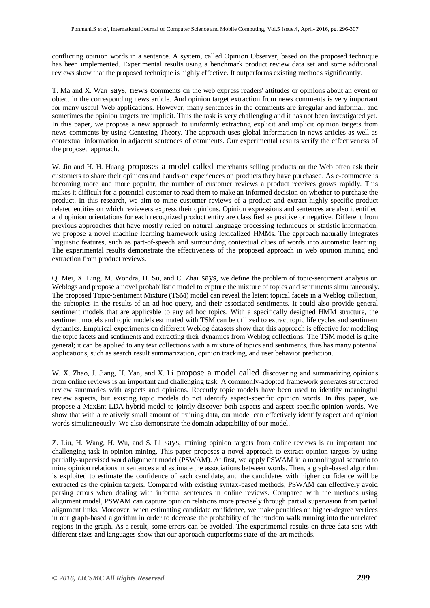conflicting opinion words in a sentence. A system, called Opinion Observer, based on the proposed technique has been implemented. Experimental results using a benchmark product review data set and some additional reviews show that the proposed technique is highly effective. It outperforms existing methods significantly.

T. Ma and X. Wan says, news comments on the web express readers' attitudes or opinions about an event or object in the corresponding news article. And opinion target extraction from news comments is very important for many useful Web applications. However, many sentences in the comments are irregular and informal, and sometimes the opinion targets are implicit. Thus the task is very challenging and it has not been investigated yet. In this paper, we propose a new approach to uniformly extracting explicit and implicit opinion targets from news comments by using Centering Theory. The approach uses global information in news articles as well as contextual information in adjacent sentences of comments. Our experimental results verify the effectiveness of the proposed approach.

W. Jin and H. H. Huang proposes a model called merchants selling products on the Web often ask their customers to share their opinions and hands-on experiences on products they have purchased. As e-commerce is becoming more and more popular, the number of customer reviews a product receives grows rapidly. This makes it difficult for a potential customer to read them to make an informed decision on whether to purchase the product. In this research, we aim to mine customer reviews of a product and extract highly specific product related entities on which reviewers express their opinions. Opinion expressions and sentences are also identified and opinion orientations for each recognized product entity are classified as positive or negative. Different from previous approaches that have mostly relied on natural language processing techniques or statistic information, we propose a novel machine learning framework using lexicalized HMMs. The approach naturally integrates linguistic features, such as part-of-speech and surrounding contextual clues of words into automatic learning. The experimental results demonstrate the effectiveness of the proposed approach in web opinion mining and extraction from product reviews.

Q. Mei, X. Ling, M. Wondra, H. Su, and C. Zhai says, we define the problem of topic-sentiment analysis on Weblogs and propose a novel probabilistic model to capture the mixture of topics and sentiments simultaneously. The proposed Topic-Sentiment Mixture (TSM) model can reveal the latent topical facets in a Weblog collection, the subtopics in the results of an ad hoc query, and their associated sentiments. It could also provide general sentiment models that are applicable to any ad hoc topics. With a specifically designed HMM structure, the sentiment models and topic models estimated with TSM can be utilized to extract topic life cycles and sentiment dynamics. Empirical experiments on different Weblog datasets show that this approach is effective for modeling the topic facets and sentiments and extracting their dynamics from Weblog collections. The TSM model is quite general; it can be applied to any text collections with a mixture of topics and sentiments, thus has many potential applications, such as search result summarization, opinion tracking, and user behavior prediction.

W. X. Zhao, J. Jiang, H. Yan, and X. Li propose a model called discovering and summarizing opinions from online reviews is an important and challenging task. A commonly-adopted framework generates structured review summaries with aspects and opinions. Recently topic models have been used to identify meaningful review aspects, but existing topic models do not identify aspect-specific opinion words. In this paper, we propose a MaxEnt-LDA hybrid model to jointly discover both aspects and aspect-specific opinion words. We show that with a relatively small amount of training data, our model can effectively identify aspect and opinion words simultaneously. We also demonstrate the domain adaptability of our model.

Z. Liu, H. Wang, H. Wu, and S. Li says, mining opinion targets from online reviews is an important and challenging task in opinion mining. This paper proposes a novel approach to extract opinion targets by using partially-supervised word alignment model (PSWAM). At first, we apply PSWAM in a monolingual scenario to mine opinion relations in sentences and estimate the associations between words. Then, a graph-based algorithm is exploited to estimate the confidence of each candidate, and the candidates with higher confidence will be extracted as the opinion targets. Compared with existing syntax-based methods, PSWAM can effectively avoid parsing errors when dealing with informal sentences in online reviews. Compared with the methods using alignment model, PSWAM can capture opinion relations more precisely through partial supervision from partial alignment links. Moreover, when estimating candidate confidence, we make penalties on higher-degree vertices in our graph-based algorithm in order to decrease the probability of the random walk running into the unrelated regions in the graph. As a result, some errors can be avoided. The experimental results on three data sets with different sizes and languages show that our approach outperforms state-of-the-art methods.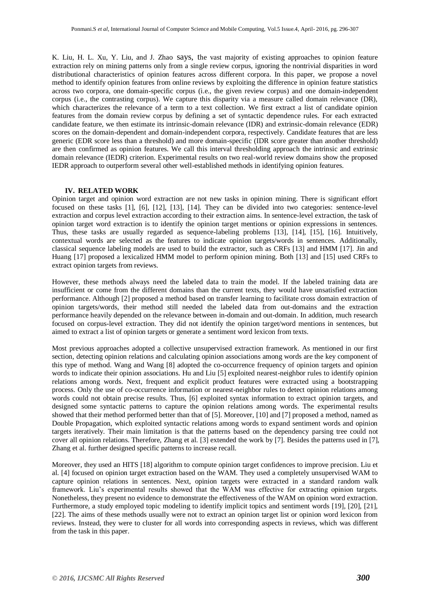K. Liu, H. L. Xu, Y. Liu, and J. Zhao says, the vast majority of existing approaches to opinion feature extraction rely on mining patterns only from a single review corpus, ignoring the nontrivial disparities in word distributional characteristics of opinion features across different corpora. In this paper, we propose a novel method to identify opinion features from online reviews by exploiting the difference in opinion feature statistics across two corpora, one domain-specific corpus (i.e., the given review corpus) and one domain-independent corpus (i.e., the contrasting corpus). We capture this disparity via a measure called domain relevance (DR), which characterizes the relevance of a term to a text collection. We first extract a list of candidate opinion features from the domain review corpus by defining a set of syntactic dependence rules. For each extracted candidate feature, we then estimate its intrinsic-domain relevance (IDR) and extrinsic-domain relevance (EDR) scores on the domain-dependent and domain-independent corpora, respectively. Candidate features that are less generic (EDR score less than a threshold) and more domain-specific (IDR score greater than another threshold) are then confirmed as opinion features. We call this interval thresholding approach the intrinsic and extrinsic domain relevance (IEDR) criterion. Experimental results on two real-world review domains show the proposed IEDR approach to outperform several other well-established methods in identifying opinion features.

#### **IV. RELATED WORK**

Opinion target and opinion word extraction are not new tasks in opinion mining. There is significant effort focused on these tasks [1], [6], [12], [13], [14]. They can be divided into two categories: sentence-level extraction and corpus level extraction according to their extraction aims. In sentence-level extraction, the task of opinion target word extraction is to identify the opinion target mentions or opinion expressions in sentences. Thus, these tasks are usually regarded as sequence-labeling problems [13], [14], [15], [16]. Intuitively, contextual words are selected as the features to indicate opinion targets/words in sentences. Additionally, classical sequence labeling models are used to build the extractor, such as CRFs [13] and HMM [17]. Jin and Huang [17] proposed a lexicalized HMM model to perform opinion mining. Both [13] and [15] used CRFs to extract opinion targets from reviews.

However, these methods always need the labeled data to train the model. If the labeled training data are insufficient or come from the different domains than the current texts, they would have unsatisfied extraction performance. Although [2] proposed a method based on transfer learning to facilitate cross domain extraction of opinion targets/words, their method still needed the labeled data from out-domains and the extraction performance heavily depended on the relevance between in-domain and out-domain. In addition, much research focused on corpus-level extraction. They did not identify the opinion target/word mentions in sentences, but aimed to extract a list of opinion targets or generate a sentiment word lexicon from texts.

Most previous approaches adopted a collective unsupervised extraction framework. As mentioned in our first section, detecting opinion relations and calculating opinion associations among words are the key component of this type of method. Wang and Wang [8] adopted the co-occurrence frequency of opinion targets and opinion words to indicate their opinion associations. Hu and Liu [5] exploited nearest-neighbor rules to identify opinion relations among words. Next, frequent and explicit product features were extracted using a bootstrapping process. Only the use of co-occurrence information or nearest-neighbor rules to detect opinion relations among words could not obtain precise results. Thus, [6] exploited syntax information to extract opinion targets, and designed some syntactic patterns to capture the opinion relations among words. The experimental results showed that their method performed better than that of [5]. Moreover, [10] and [7] proposed a method, named as Double Propagation, which exploited syntactic relations among words to expand sentiment words and opinion targets iteratively. Their main limitation is that the patterns based on the dependency parsing tree could not cover all opinion relations. Therefore, Zhang et al. [3] extended the work by [7]. Besides the patterns used in [7], Zhang et al. further designed specific patterns to increase recall.

Moreover, they used an HITS [18] algorithm to compute opinion target confidences to improve precision. Liu et al. [4] focused on opinion target extraction based on the WAM. They used a completely unsupervised WAM to capture opinion relations in sentences. Next, opinion targets were extracted in a standard random walk framework. Liu's experimental results showed that the WAM was effective for extracting opinion targets. Nonetheless, they present no evidence to demonstrate the effectiveness of the WAM on opinion word extraction. Furthermore, a study employed topic modeling to identify implicit topics and sentiment words [19], [20], [21], [22]. The aims of these methods usually were not to extract an opinion target list or opinion word lexicon from reviews. Instead, they were to cluster for all words into corresponding aspects in reviews, which was different from the task in this paper.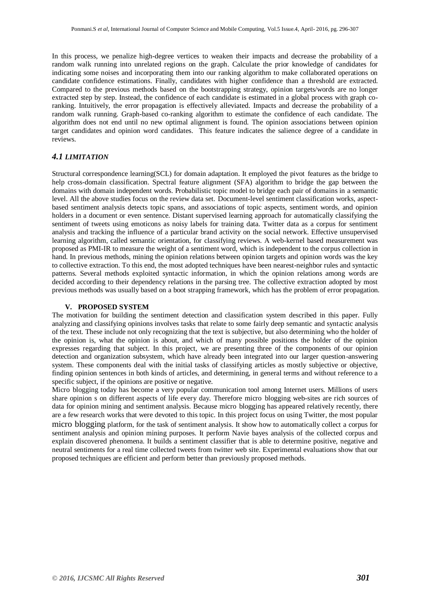In this process, we penalize high-degree vertices to weaken their impacts and decrease the probability of a random walk running into unrelated regions on the graph. Calculate the prior knowledge of candidates for indicating some noises and incorporating them into our ranking algorithm to make collaborated operations on candidate confidence estimations. Finally, candidates with higher confidence than a threshold are extracted. Compared to the previous methods based on the bootstrapping strategy, opinion targets/words are no longer extracted step by step. Instead, the confidence of each candidate is estimated in a global process with graph coranking. Intuitively, the error propagation is effectively alleviated. Impacts and decrease the probability of a random walk running. Graph-based co-ranking algorithm to estimate the confidence of each candidate. The algorithm does not end until no new optimal alignment is found. The opinion associations between opinion target candidates and opinion word candidates. This feature indicates the salience degree of a candidate in reviews.

# *4.1 LIMITATION*

Structural correspondence learning(SCL) for domain adaptation. It employed the pivot features as the bridge to help cross-domain classification. Spectral feature alignment (SFA) algorithm to bridge the gap between the domains with domain independent words. Probabilistic topic model to bridge each pair of domains in a semantic level. All the above studies focus on the review data set. Document-level sentiment classification works, aspectbased sentiment analysis detects topic spans, and associations of topic aspects, sentiment words, and opinion holders in a document or even sentence. Distant supervised learning approach for automatically classifying the sentiment of tweets using emoticons as noisy labels for training data. Twitter data as a corpus for sentiment analysis and tracking the influence of a particular brand activity on the social network. Effective unsupervised learning algorithm, called semantic orientation, for classifying reviews. A web-kernel based measurement was proposed as PMI-IR to measure the weight of a sentiment word, which is independent to the corpus collection in hand. In previous methods, mining the opinion relations between opinion targets and opinion words was the key to collective extraction. To this end, the most adopted techniques have been nearest-neighbor rules and syntactic patterns. Several methods exploited syntactic information, in which the opinion relations among words are decided according to their dependency relations in the parsing tree. The collective extraction adopted by most previous methods was usually based on a boot strapping framework, which has the problem of error propagation.

#### **V. PROPOSED SYSTEM**

The motivation for building the sentiment detection and classification system described in this paper. Fully analyzing and classifying opinions involves tasks that relate to some fairly deep semantic and syntactic analysis of the text. These include not only recognizing that the text is subjective, but also determining who the holder of the opinion is, what the opinion is about, and which of many possible positions the holder of the opinion expresses regarding that subject. In this project, we are presenting three of the components of our opinion detection and organization subsystem, which have already been integrated into our larger question-answering system. These components deal with the initial tasks of classifying articles as mostly subjective or objective, finding opinion sentences in both kinds of articles, and determining, in general terms and without reference to a specific subject, if the opinions are positive or negative.

Micro blogging today has become a very popular communication tool among Internet users. Millions of users share opinion s on different aspects of life every day. Therefore micro blogging web-sites are rich sources of data for opinion mining and sentiment analysis. Because micro blogging has appeared relatively recently, there are a few research works that were devoted to this topic. In this project focus on using Twitter, the most popular micro blogging platform, for the task of sentiment analysis. It show how to automatically collect a corpus for sentiment analysis and opinion mining purposes. It perform Navie bayes analysis of the collected corpus and explain discovered phenomena. It builds a sentiment classifier that is able to determine positive, negative and neutral sentiments for a real time collected tweets from twitter web site. Experimental evaluations show that our proposed techniques are efficient and perform better than previously proposed methods.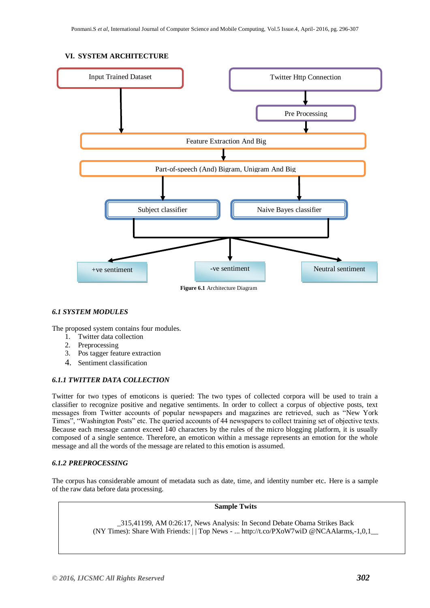



### *6.1 SYSTEM MODULES*

The proposed system contains four modules.

- 1. Twitter data collection
- 2. Preprocessing
- 3. Pos tagger feature extraction
- 4. Sentiment classification

# *6.1.1 TWITTER DATA COLLECTION*

Twitter for two types of emoticons is queried: The two types of collected corpora will be used to train a classifier to recognize positive and negative sentiments. In order to collect a corpus of objective posts, text messages from Twitter accounts of popular newspapers and magazines are retrieved, such as "New York Times", "Washington Posts" etc. The queried accounts of 44 newspapers to collect training set of objective texts. Because each message cannot exceed 140 characters by the rules of the micro blogging platform, it is usually composed of a single sentence. Therefore, an emoticon within a message represents an emotion for the whole message and all the words of the message are related to this emotion is assumed.

### *6.1.2 PREPROCESSING*

The corpus has considerable amount of metadata such as date, time, and identity number etc. Here is a sample of the raw data before data processing.

# **Sample Twits**

\_315,41199, AM 0:26:17, News Analysis: In Second Debate Obama Strikes Back (NY Times): Share With Friends: | | Top News - ... http://t.co/PXoW7wiD @NCAAlarms,-1,0,1\_\_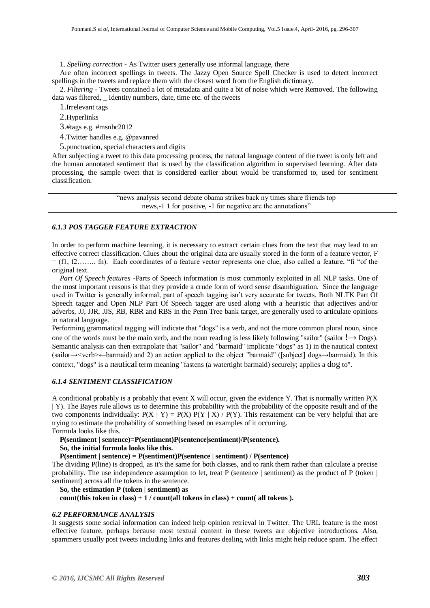1. *Spelling correction* - As Twitter users generally use informal language, there

Are often incorrect spellings in tweets. The Jazzy Open Source Spell Checker is used to detect incorrect spellings in the tweets and replace them with the closest word from the English dictionary.

2. *Filtering* - Tweets contained a lot of metadata and quite a bit of noise which were Removed. The following data was filtered, Identity numbers, date, time etc. of the tweets

1.Irrelevant tags

2.Hyperlinks

3.#tags e.g. #msnbc2012

4.Twitter handles e.g. @pavanred

5.punctuation, special characters and digits

After subjecting a tweet to this data processing process, the natural language content of the tweet is only left and the human annotated sentiment that is used by the classification algorithm in supervised learning. After data processing, the sample tweet that is considered earlier about would be transformed to, used for sentiment classification.

> "news analysis second debate obama strikes back ny times share friends top news,-1 1 for positive, -1 for negative are the annotations"

## *6.1.3 POS TAGGER FEATURE EXTRACTION*

In order to perform machine learning, it is necessary to extract certain clues from the text that may lead to an effective correct classification. Clues about the original data are usually stored in the form of a feature vector, F = (f1, f2…….. fn). Each coordinates of a feature vector represents one clue, also called a feature, "fi "of the original text.

*Part Of Speech features* -Parts of Speech information is most commonly exploited in all NLP tasks. One of the most important reasons is that they provide a crude form of word sense disambiguation. Since the language used in Twitter is generally informal, part of speech tagging isn't very accurate for tweets. Both NLTK Part Of Speech tagger and Open NLP Part Of Speech tagger are used along with a heuristic that adjectives and/or adverbs, JJ, JJR, JJS, RB, RBR and RBS in the Penn Tree bank target, are generally used to articulate opinions in natural language.

Performing grammatical tagging will indicate that "dogs" is a verb, and not the more common plural noun, since one of the words must be the main verb, and the noun reading is less likely following "sailor" (sailor  $! \rightarrow$  Dogs). Semantic analysis can then extrapolate that "sailor" and "barmaid" implicate "dogs" as 1) in the nautical context (sailor→<verb>←barmaid) and 2) an action applied to the object "barmaid" ([subject] dogs→barmaid). In this context, "dogs" is a [nautical](http://en.wikipedia.org/wiki/Seamanship) term meaning "fastens (a watertight barmaid) securely; applies a [dog](http://en.wikipedia.org/wiki/Dog_%28engineering%29) to".

#### *6.1.4 SENTIMENT CLASSIFICATION*

A conditional probably is a probably that event X will occur, given the evidence Y. That is normally written P(X | Y). The Bayes rule allows us to determine this probability with the probability of the opposite result and of the two components individually:  $P(X | Y) = P(X) P(Y | X) / P(Y)$ . This restatement can be very helpful that are trying to estimate the probability of something based on examples of it occurring. Formula looks like this.

**P(sentiment | sentence)=P(sentiment)P(sentence|sentiment)/P(sentence).**

#### **So, the initial formula looks like this.**

**P(sentiment | sentence) = P(sentiment)P(sentence | sentiment) / P(sentence)**

The dividing P(line) is dropped, as it's the same for both classes, and to rank them rather than calculate a precise probability. The use independence assumption to let, treat P (sentence  $\vert$  sentiment) as the product of P (token  $\vert$ sentiment) across all the tokens in the sentence.

**So, the estimation P (token | sentiment) as**

**count(this token in class) + 1 / count(all tokens in class) + count( all tokens ).**

#### *6.2 PERFORMANCE ANALYSIS*

It suggests some social information can indeed help opinion retrieval in Twitter. The URL feature is the most effective feature, perhaps because most textual content in these tweets are objective introductions. Also, spammers usually post tweets including links and features dealing with links might help reduce spam. The effect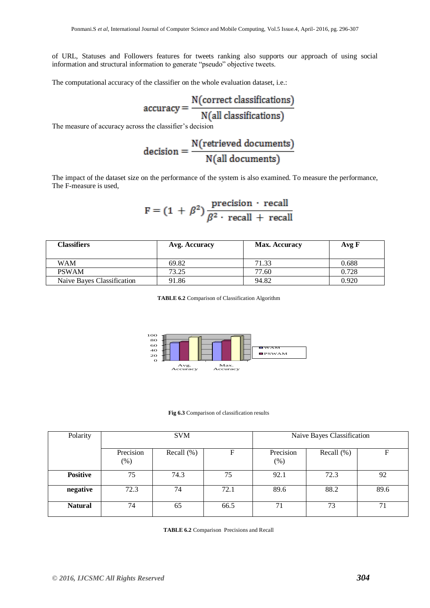of URL, Statuses and Followers features for tweets ranking also supports our approach of using social information and structural information to generate "pseudo" objective tweets.

The computational accuracy of the classifier on the whole evaluation dataset, i.e.:

$$
accuracy = \frac{N(correct classifications)}{N(all classifications)}
$$

The measure of accuracy across the classifier's decision

$$
decision = \frac{N(retrieved documents)}{N(all documents)}
$$

The impact of the dataset size on the performance of the system is also examined. To measure the performance, The F-measure is used,

$$
F = (1 + \beta^2) \frac{\text{precision} \cdot \text{recall}}{\beta^2 \cdot \text{recall} + \text{recall}}
$$

| <b>Classifiers</b>         | Avg. Accuracy | <b>Max. Accuracy</b> | Avg F |
|----------------------------|---------------|----------------------|-------|
|                            |               |                      |       |
| <b>WAM</b>                 | 69.82         | 71.33                | 0.688 |
| <b>PSWAM</b>               | 73.25         | 77.60                | 0.728 |
| Naive Bayes Classification | 91.86         | 94.82                | 0.920 |

**TABLE 6.2** Comparison of Classification Algorithm



#### **Fig 6.3** Comparison of classification results

| Polarity        |                      | <b>SVM</b>    |      |                     | Naive Bayes Classification |      |
|-----------------|----------------------|---------------|------|---------------------|----------------------------|------|
|                 | Precision<br>$(\% )$ | Recall $(\%)$ | F    | Precision<br>$(\%)$ | Recall $(\%)$              | F    |
| <b>Positive</b> | 75                   | 74.3          | 75   | 92.1                | 72.3                       | 92   |
| negative        | 72.3                 | 74            | 72.1 | 89.6                | 88.2                       | 89.6 |
| <b>Natural</b>  | 74                   | 65            | 66.5 | 71                  | 73                         | 71   |

|  |  |  |  |  | <b>TABLE 6.2</b> Comparison Precisions and Recall |  |  |
|--|--|--|--|--|---------------------------------------------------|--|--|
|--|--|--|--|--|---------------------------------------------------|--|--|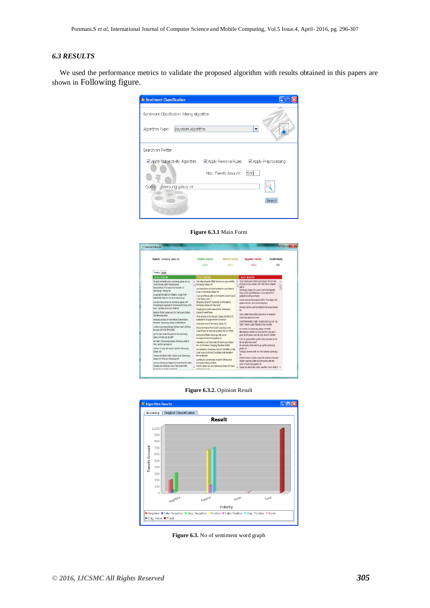# *6.3 RESULTS*

We used the performance metrics to validate the proposed algorithm with results obtained in this papers are shown in Following figure.

| Sentiment Classification                  |                     |                     |
|-------------------------------------------|---------------------|---------------------|
| Sentiment Classification Mining Algorithm |                     |                     |
| Algorithm Type:<br>Bayesian Algorithm     |                     | $\checkmark$        |
| Search on Twitter                         |                     |                     |
| Apply Subjectivity Algorithm              | Apply Removal Rules | Apply Preprocessing |
|                                           | Max. Tweets Amount: | 500                 |
| samsung galaxy s4<br>Query                |                     |                     |
| <b>ALLOCATION</b>                         |                     | Search              |

**Figure 6.3.1** Main Form

| Search: Samsung Galaxy S4                                                                                                                                                                                                                                                                                                                                                                                                                                                                                                                                                   | <b>Positive Tweets</b>                                                                                                                                                                                                                                                                                                                                                                                                                                                                                                                                        | <b>Neutral Tweets</b> | <b>Negative Tweets</b>                                                                                                                                                                                                                                                                                                                                                                                                                                                                                                                        | <b>Total Tweets</b> |
|-----------------------------------------------------------------------------------------------------------------------------------------------------------------------------------------------------------------------------------------------------------------------------------------------------------------------------------------------------------------------------------------------------------------------------------------------------------------------------------------------------------------------------------------------------------------------------|---------------------------------------------------------------------------------------------------------------------------------------------------------------------------------------------------------------------------------------------------------------------------------------------------------------------------------------------------------------------------------------------------------------------------------------------------------------------------------------------------------------------------------------------------------------|-----------------------|-----------------------------------------------------------------------------------------------------------------------------------------------------------------------------------------------------------------------------------------------------------------------------------------------------------------------------------------------------------------------------------------------------------------------------------------------------------------------------------------------------------------------------------------------|---------------------|
|                                                                                                                                                                                                                                                                                                                                                                                                                                                                                                                                                                             | 7160                                                                                                                                                                                                                                                                                                                                                                                                                                                                                                                                                          | 183.0                 | 101.0                                                                                                                                                                                                                                                                                                                                                                                                                                                                                                                                         | 500                 |
| Tweets Chart                                                                                                                                                                                                                                                                                                                                                                                                                                                                                                                                                                |                                                                                                                                                                                                                                                                                                                                                                                                                                                                                                                                                               |                       |                                                                                                                                                                                                                                                                                                                                                                                                                                                                                                                                               |                     |
| 43.0% POSITIVE                                                                                                                                                                                                                                                                                                                                                                                                                                                                                                                                                              | 37.0% NEUTRAL                                                                                                                                                                                                                                                                                                                                                                                                                                                                                                                                                 |                       | 20.0 % MEGATIVE                                                                                                                                                                                                                                                                                                                                                                                                                                                                                                                               |                     |
| So glad ive finally got a samsung galaxy s4, so<br>much bloody better than johones<br>Researchers Find awsome Security In<br>Samsung's Galaxy S4<br>Great DEFENDER OTTERROX CASE FOR<br>SAMSUNG GALAXY S4 lik it Check it out<br>can we make emoil on samsung galaxi s4?<br>im looking to upgrade to Samsung S4 bcoz of 5k<br>texts. 1qbdata and more talktime<br>Magical Teddy paper pack for Samsung Galaxy<br>S4 intresting dude<br>amazing product on incredible Connection's<br>Website: Samsuno Galaxy S4 Mini Black<br>I need a samsung Galaxy S4 like now!! 2014 is | - One stop shop for FREE phones on pay monthly.<br>Samsung Galaxy S4<br>Last day! Enter our trivia contest for your chance<br>to win a Samsung Galaxy S4<br>I use all of these with my S4! Worth a look if vou're<br>a Samsung user:-)<br>Shopping around? Handsets on #Vodafone.<br>Samsung Galaxy S4 Buy now!<br>Finally got my self a new phone I Samsung<br>GalaxyS4 newPhone<br>Pink version of Samsung's Galaxy S4 with LTE<br>available in Singapore from tomorrow<br>Deal cone scon# Samsung Galaxy S4<br>Skyrocket Wallet Pink Clutch Carrying Cover |                       | I just destroyed a Samsung Galaxy S4 sim tray<br>by trving to use a Nano Sim with Micro adapter<br>with it.<br>Samsung Galaxy S4 Loses Half of its Resale<br>Value since April Release A new report from<br>gadget recycling compari_<br>A look back at Samsung in 2013: The Galaxy S4.<br>patent womes, and curved displays.<br>Subway Surfers game install to Samsung Galaxy<br>S4<br>Harry potter Sirius Black prisoners of azkaban<br>samsung galaxy s4 case<br>CUSTOM HARD CASE! SAMSUNG GALAXY S4<br>ONLY 180KILLAMA PEMBLIATAN 3 HARIF |                     |
| the year of FUCK IPHONES<br>got my own crew! Ive gone for the samsung<br>oalary s4 mini, its great!!<br>Iron Man 3 Samsung Galaxy S4 looks pretty in<br>Pink, and it's already on.<br>Asif my 11 year old cousin has the Samsung<br>Galaxy S4!<br>I liked a YouTube video Quick Look: Samsung<br>Galaxy S4 Wireless Charcino Kit<br>I got my Samsung Galaxy S4 Case Slim-Fit Ultra.<br>Durable Gel Sticone Cover Skin Shell With<br>Crease its inconditionance of dif-                                                                                                      | Case Pouch for Samsuno Galaxy S4 S Iv 19500<br>Embossed Steel Jeep logo with wood<br>background samsung galaxy s4<br>I favorited a vouTube video for Samsung Galaxy<br>S4 - QI Wireless Charging Receiver Install<br>I've selected a Samsung GALAXY S4 MINI in a file<br>cover colour but mind Oscillates that wheather<br>fits my lifestife.<br>Looking for a brand new mobile? What about<br>Samsuno Galaxy S4 Mini.<br>How to Speed up your Samsung Galaxy S4 need<br><b>FUNAPAÍREA AIGE</b>                                                               |                       | so i broke my samsuno galaxy s4 while<br>attempting a skit for my next vid, fml. only get 2<br>goes at insurance and its only been 8 months<br>Fuhl my grand father got his boay present as s4<br>its not upto thee mark<br>So annoxing dont want to go go for samsung<br>calaxy s.4<br>Taking a shower with my mom phone samsung<br>54<br>Android news s4 gives away the winner boldcase<br>Higher capacity batter but not worthy with the<br>cover of samsung galaxy s4<br>- Galaxy s4 stinks the more i use the more i hate it -           |                     |



**Figure 6.3.2.** Opinion Result

**Figure 6.3.** No of sentiment word graph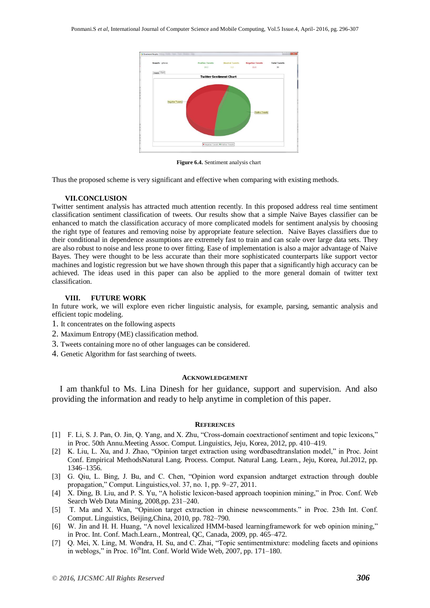

**Figure 6.4.** Sentiment analysis chart

Thus the proposed scheme is very significant and effective when comparing with existing methods.

#### **VII.CONCLUSION**

Twitter sentiment analysis has attracted much attention recently. In this proposed address real time sentiment classification sentiment classification of tweets. Our results show that a simple Naive Bayes classifier can be enhanced to match the classification accuracy of more complicated models for sentiment analysis by choosing the right type of features and removing noise by appropriate feature selection. Naive Bayes classifiers due to their conditional in dependence assumptions are extremely fast to train and can scale over large data sets. They are also robust to noise and less prone to over fitting. Ease of implementation is also a major advantage of Naive Bayes. They were thought to be less accurate than their more sophisticated counterparts like support vector machines and logistic regression but we have shown through this paper that a significantly high accuracy can be achieved. The ideas used in this paper can also be applied to the more general domain of twitter text classification.

#### **VIII. FUTURE WORK**

In future work, we will explore even richer linguistic analysis, for example, parsing, semantic analysis and efficient topic modeling.

- 1. It concentrates on the following aspects
- 2. Maximum Entropy (ME) classification method.
- 3. Tweets containing more no of other languages can be considered.
- 4. Genetic Algorithm for fast searching of tweets.

#### **ACKNOWLEDGEMENT**

I am thankful to Ms. Lina Dinesh for her guidance, support and supervision. And also providing the information and ready to help anytime in completion of this paper.

#### **REFERENCES**

- [1] F. Li, S. J. Pan, O. Jin, Q. Yang, and X. Zhu, "Cross-domain coextractionof sentiment and topic lexicons," in Proc. 50th Annu.Meeting Assoc. Comput. Linguistics, Jeju, Korea, 2012, pp. 410–419.
- [2] K. Liu, L. Xu, and J. Zhao, "Opinion target extraction using wordbasedtranslation model," in Proc. Joint Conf. Empirical MethodsNatural Lang. Process. Comput. Natural Lang. Learn., Jeju, Korea, Jul.2012, pp. 1346–1356.
- [3] G. Qiu, L. Bing, J. Bu, and C. Chen, "Opinion word expansion andtarget extraction through double propagation," Comput. Linguistics,vol. 37, no. 1, pp. 9–27, 2011.
- [4] X. Ding, B. Liu, and P. S. Yu, "A holistic lexicon-based approach toopinion mining," in Proc. Conf. Web Search Web Data Mining, 2008,pp. 231–240.
- [5] T. Ma and X. Wan, "Opinion target extraction in chinese newscomments." in Proc. 23th Int. Conf. Comput. Linguistics, Beijing,China, 2010, pp. 782–790.
- [6] W. Jin and H. H. Huang, "A novel lexicalized HMM-based learningframework for web opinion mining," in Proc. Int. Conf. Mach.Learn., Montreal, QC, Canada, 2009, pp. 465–472.
- [7] Q. Mei, X. Ling, M. Wondra, H. Su, and C. Zhai, "Topic sentimentmixture: modeling facets and opinions in weblogs," in Proc.  $16<sup>th</sup>$ Int. Conf. World Wide Web, 2007, pp. 171–180.